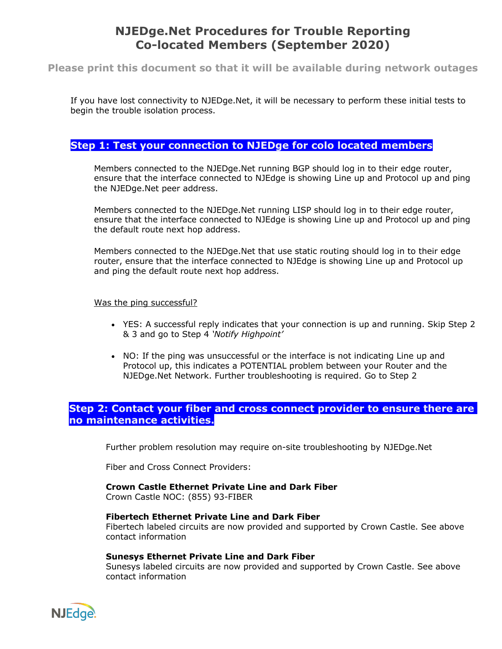# **NJEDge.Net Procedures for Trouble Reporting Co-located Members (September 2020)**

## **Please print this document so that it will be available during network outages**

If you have lost connectivity to NJEDge.Net, it will be necessary to perform these initial tests to begin the trouble isolation process.

## **Step 1: Test your connection to NJEDge for colo located members**

Members connected to the NJEDge.Net running BGP should log in to their edge router, ensure that the interface connected to NJEdge is showing Line up and Protocol up and ping the NJEDge.Net peer address.

Members connected to the NJEDge.Net running LISP should log in to their edge router, ensure that the interface connected to NJEdge is showing Line up and Protocol up and ping the default route next hop address.

Members connected to the NJEDge.Net that use static routing should log in to their edge router, ensure that the interface connected to NJEdge is showing Line up and Protocol up and ping the default route next hop address.

#### Was the ping successful?

- YES: A successful reply indicates that your connection is up and running. Skip Step 2 & 3 and go to Step 4 *'Notify Highpoint'*
- NO: If the ping was unsuccessful or the interface is not indicating Line up and Protocol up, this indicates a POTENTIAL problem between your Router and the NJEDge.Net Network. Further troubleshooting is required. Go to Step 2

## **Step 2: Contact your fiber and cross connect provider to ensure there are no maintenance activities.**

Further problem resolution may require on-site troubleshooting by NJEDge.Net

Fiber and Cross Connect Providers:

#### **Crown Castle Ethernet Private Line and Dark Fiber**

Crown Castle NOC: (855) 93-FIBER

#### **Fibertech Ethernet Private Line and Dark Fiber**

Fibertech labeled circuits are now provided and supported by Crown Castle. See above contact information

#### **Sunesys Ethernet Private Line and Dark Fiber**

Sunesys labeled circuits are now provided and supported by Crown Castle. See above contact information

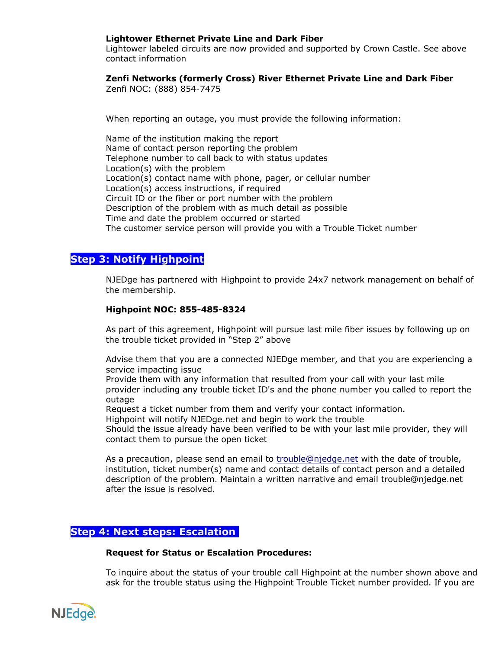### **Lightower Ethernet Private Line and Dark Fiber**

Lightower labeled circuits are now provided and supported by Crown Castle. See above contact information

### **Zenfi Networks (formerly Cross) River Ethernet Private Line and Dark Fiber**

Zenfi NOC: (888) 854-7475

When reporting an outage, you must provide the following information:

Name of the institution making the report Name of contact person reporting the problem Telephone number to call back to with status updates Location(s) with the problem Location(s) contact name with phone, pager, or cellular number Location(s) access instructions, if required Circuit ID or the fiber or port number with the problem Description of the problem with as much detail as possible Time and date the problem occurred or started The customer service person will provide you with a Trouble Ticket number

## **Step 3: Notify Highpoint**

NJEDge has partnered with Highpoint to provide 24x7 network management on behalf of the membership.

#### **Highpoint NOC: 855-485-8324**

As part of this agreement, Highpoint will pursue last mile fiber issues by following up on the trouble ticket provided in "Step 2" above

Advise them that you are a connected NJEDge member, and that you are experiencing a service impacting issue

Provide them with any information that resulted from your call with your last mile provider including any trouble ticket ID's and the phone number you called to report the outage

Request a ticket number from them and verify your contact information.

Highpoint will notify NJEDge.net and begin to work the trouble

Should the issue already have been verified to be with your last mile provider, they will contact them to pursue the open ticket

As a precaution, please send an email to trouble@njedge.net with the date of trouble, institution, ticket number(s) name and contact details of contact person and a detailed description of the problem. Maintain a written narrative and email trouble@njedge.net after the issue is resolved.

## **Step 4: Next steps: Escalation**

#### **Request for Status or Escalation Procedures:**

To inquire about the status of your trouble call Highpoint at the number shown above and ask for the trouble status using the Highpoint Trouble Ticket number provided. If you are